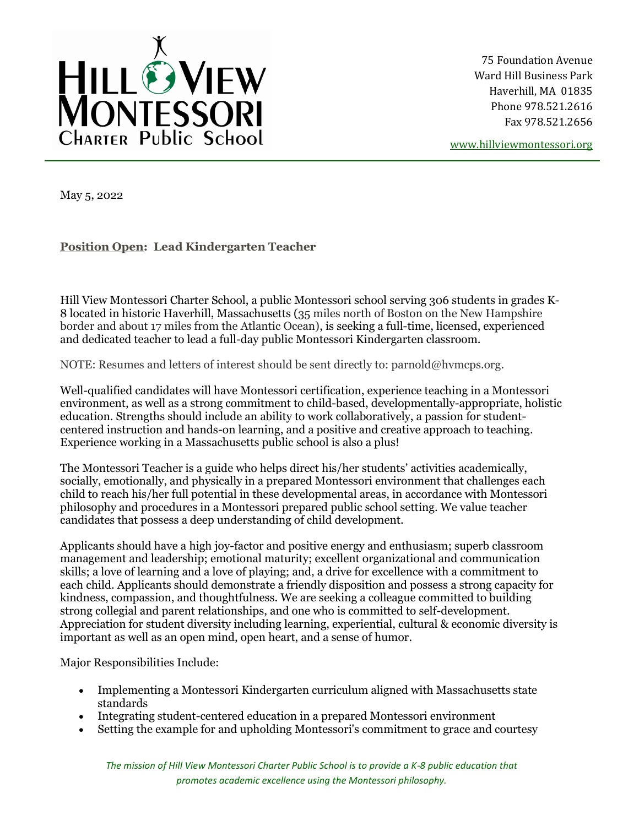

75 Foundation Avenue Ward Hill Business Park Haverhill, MA 01835 Phone 978.521.2616 Fax 978.521.2656

[www.hillviewmontessori.org](http://www.hillviewmontessori.org/)

May 5, 2022

**Position Open: Lead Kindergarten Teacher**

Hill View Montessori Charter School, a public Montessori school serving 306 students in grades K-8 located in historic Haverhill, Massachusetts (35 miles north of Boston on the New Hampshire border and about 17 miles from the Atlantic Ocean), is seeking a full-time, licensed, experienced and dedicated teacher to lead a full-day public Montessori Kindergarten classroom.

NOTE: Resumes and letters of interest should be sent directly to: parnold@hvmcps.org.

Well-qualified candidates will have Montessori certification, experience teaching in a Montessori environment, as well as a strong commitment to child-based, developmentally-appropriate, holistic education. Strengths should include an ability to work collaboratively, a passion for studentcentered instruction and hands-on learning, and a positive and creative approach to teaching. Experience working in a Massachusetts public school is also a plus!

The Montessori Teacher is a guide who helps direct his/her students' activities academically, socially, emotionally, and physically in a prepared Montessori environment that challenges each child to reach his/her full potential in these developmental areas, in accordance with Montessori philosophy and procedures in a Montessori prepared public school setting. We value teacher candidates that possess a deep understanding of child development.

Applicants should have a high joy-factor and positive energy and enthusiasm; superb classroom management and leadership; emotional maturity; excellent organizational and communication skills; a love of learning and a love of playing; and, a drive for excellence with a commitment to each child. Applicants should demonstrate a friendly disposition and possess a strong capacity for kindness, compassion, and thoughtfulness. We are seeking a colleague committed to building strong collegial and parent relationships, and one who is committed to self-development. Appreciation for student diversity including learning, experiential, cultural & economic diversity is important as well as an open mind, open heart, and a sense of humor.

Major Responsibilities Include:

- Implementing a Montessori Kindergarten curriculum aligned with Massachusetts state standards
- Integrating student-centered education in a prepared Montessori environment
- Setting the example for and upholding Montessori's commitment to grace and courtesy